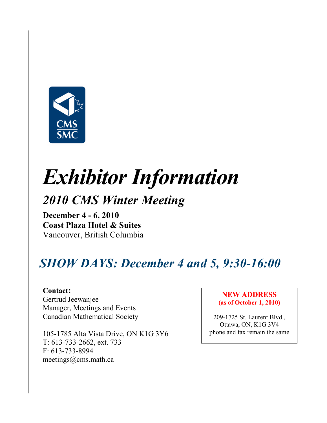

# Exhibitor Information

# 2010 CMS Winter Meeting

December 4 - 6, 2010 Coast Plaza Hotel & Suites Vancouver, British Columbia

# SHOW DAYS: December 4 and 5, 9:30-16:00

Contact: Gertrud Jeewanjee Manager, Meetings and Events Canadian Mathematical Society

105-1785 Alta Vista Drive, ON K1G 3Y6 T: 613-733-2662, ext. 733 F: 613-733-8994 meetings@cms.math.ca

#### NEW ADDRESS (as of October 1, 2010)

209-1725 St. Laurent Blvd., Ottawa, ON, K1G 3V4 phone and fax remain the same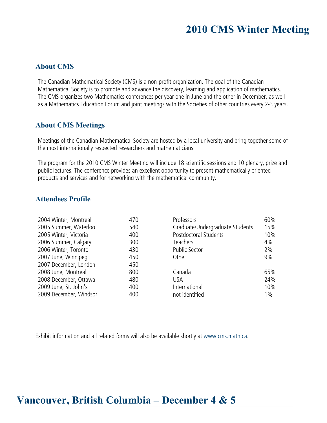# 2010 CMS Winter Meeting

#### About CMS

The Canadian Mathematical Society (CMS) is a non-profit organization. The goal of the Canadian Mathematical Society is to promote and advance the discovery, learning and application of mathematics. The CMS organizes two Mathematics conferences per year one in June and the other in December, as well as a Mathematics Education Forum and joint meetings with the Societies of other countries every 2-3 years.

#### About CMS Meetings

Meetings of the Canadian Mathematical Society are hosted by a local university and bring together some of the most internationally respected researchers and mathematicians.

The program for the 2010 CMS Winter Meeting will include 18 scientific sessions and 10 plenary, prize and public lectures. The conference provides an excellent opportunity to present mathematically oriented products and services and for networking with the mathematical community.

#### Attendees Profile

| 2004 Winter, Montreal  | 470 | Professors                      | 60%   |
|------------------------|-----|---------------------------------|-------|
| 2005 Summer, Waterloo  | 540 | Graduate/Undergraduate Students | 15%   |
| 2005 Winter, Victoria  | 400 | Postdoctoral Students           | 10%   |
| 2006 Summer, Calgary   | 300 | Teachers                        | 4%    |
| 2006 Winter, Toronto   | 430 | <b>Public Sector</b>            | 2%    |
| 2007 June, Winnipeg    | 450 | Other                           | 9%    |
| 2007 December, London  | 450 |                                 |       |
| 2008 June, Montreal    | 800 | Canada                          | 65%   |
| 2008 December, Ottawa  | 480 | USA.                            | 24%   |
| 2009 June, St. John's  | 400 | International                   | 10%   |
| 2009 December, Windsor | 400 | not identified                  | $1\%$ |

Exhibit information and all related forms will also be available shortly at www.cms.math.ca.

## Vancouver, British Columbia – December 4 & 5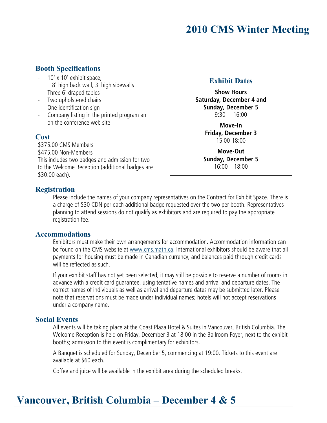# 2010 CMS Winter Meeting

### Booth Specifications

- 10' x 10' exhibit space, 8' high back wall, 3' high sidewalls
- Three 6' draped tables
- Two upholstered chairs
- One identification sign
- Company listing in the printed program an on the conference web site

#### **Cost**

\$375.00 CMS Members \$475.00 Non-Members This includes two badges and admission for two to the Welcome Reception (additional badges are \$30.00 each).

#### Exhibit Dates

**Show Hours Saturday, December 4 and Sunday, December 5**  $9:30 - 16:00$ 

> **Move-In Friday, December 3**  15:00-18:00

**Move-Out Sunday, December 5** 16:00 – 18:00

#### Registration

Please include the names of your company representatives on the Contract for Exhibit Space. There is a charge of \$30 CDN per each additional badge requested over the two per booth. Representatives planning to attend sessions do not qualify as exhibitors and are required to pay the appropriate registration fee.

#### Accommodations

Exhibitors must make their own arrangements for accommodation. Accommodation information can be found on the CMS website at www.cms.math.ca. International exhibitors should be aware that all payments for housing must be made in Canadian currency, and balances paid through credit cards will be reflected as such.

If your exhibit staff has not yet been selected, it may still be possible to reserve a number of rooms in advance with a credit card guarantee, using tentative names and arrival and departure dates. The correct names of individuals as well as arrival and departure dates may be submitted later. Please note that reservations must be made under individual names; hotels will not accept reservations under a company name.

#### Social Events

All events will be taking place at the Coast Plaza Hotel & Suites in Vancouver, British Columbia. The Welcome Reception is held on Friday, December 3 at 18:00 in the Ballroom Foyer, next to the exhibit booths; admission to this event is complimentary for exhibitors.

A Banquet is scheduled for Sunday, December 5, commencing at 19:00. Tickets to this event are available at \$60 each.

Coffee and juice will be available in the exhibit area during the scheduled breaks.

# Vancouver, British Columbia – December 4 & 5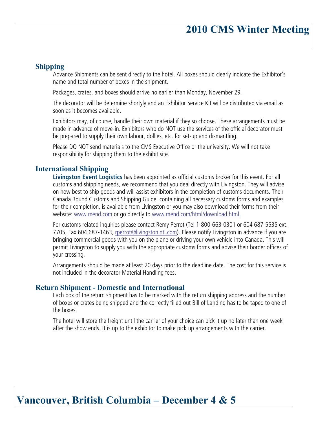# 2010 CMS Winter Meeting

#### Shipping

Advance Shipments can be sent directly to the hotel. All boxes should clearly indicate the Exhibitor's name and total number of boxes in the shipment.

Packages, crates, and boxes should arrive no earlier than Monday, November 29.

The decorator will be determine shortyly and an Exhibitor Service Kit will be distributed via email as soon as it becomes available.

Exhibitors may, of course, handle their own material if they so choose. These arrangements must be made in advance of move-in. Exhibitors who do NOT use the services of the official decorator must be prepared to supply their own labour, dollies, etc. for set-up and dismantling.

Please DO NOT send materials to the CMS Executive Office or the university. We will not take responsibility for shipping them to the exhibit site.

#### International Shipping

**Livingston Event Logistics** has been appointed as official customs broker for this event. For all customs and shipping needs, we recommend that you deal directly with Livingston. They will advise on how best to ship goods and will assist exhibitors in the completion of customs documents. Their Canada Bound Customs and Shipping Guide, containing all necessary customs forms and examples for their completion, is available from Livingston or you may also download their forms from their website: www.mend.com or go directly to www.mend.com/html/download.html.

For customs related inquiries please contact Remy Perrot (Tel 1-800-663-0301 or 604 687-5535 ext. 7705, Fax 604 687-1463, rperrot@livingstonintl.com). Please notify Livingston in advance if you are bringing commercial goods with you on the plane or driving your own vehicle into Canada. This will permit Livingston to supply you with the appropriate customs forms and advise their border offices of your crossing.

Arrangements should be made at least 20 days prior to the deadline date. The cost for this service is not included in the decorator Material Handling fees.

#### Return Shipment - Domestic and International

Each box of the return shipment has to be marked with the return shipping address and the number of boxes or crates being shipped and the correctly filled out Bill of Landing has to be taped to one of the boxes.

The hotel will store the freight until the carrier of your choice can pick it up no later than one week after the show ends. It is up to the exhibitor to make pick up arrangements with the carrier.

### Vancouver, British Columbia – December 4 & 5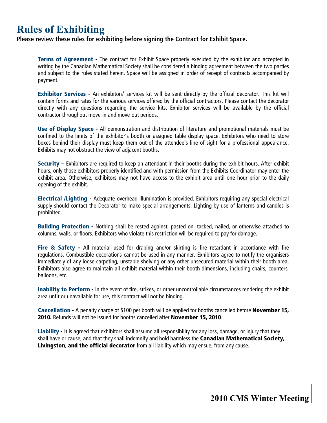# Rules of Exhibiting

**Please review these rules for exhibiting before signing the Contract for Exhibit Space.** 

**Terms of Agreement -** The contract for Exhibit Space properly executed by the exhibitor and accepted in writing by the Canadian Mathematical Society shall be considered a binding agreement between the two parties and subject to the rules stated herein. Space will be assigned in order of receipt of contracts accompanied by payment.

Exhibitor Services - An exhibitors' services kit will be sent directly by the official decorator. This kit will contain forms and rates for the various services offered by the official contractors. Please contact the decorator directly with any questions regarding the service kits. Exhibitor services will be available by the official contractor throughout move-in and move-out periods.

Use of Display Space - All demonstration and distribution of literature and promotional materials must be confined to the limits of the exhibitor's booth or assigned table display space. Exhibitors who need to store boxes behind their display must keep them out of the attendee's line of sight for a professional appearance. Exhibits may not obstruct the view of adjacent booths.

**Security** – Exhibitors are required to keep an attendant in their booths during the exhibit hours. After exhibit hours, only those exhibitors properly identified and with permission from the Exhibits Coordinator may enter the exhibit area. Otherwise, exhibitors may not have access to the exhibit area until one hour prior to the daily opening of the exhibit.

Electrical /Lighting - Adequate overhead illumination is provided. Exhibitors requiring any special electrical supply should contact the Decorator to make special arrangements. Lighting by use of lanterns and candles is prohibited.

Building Protection - Nothing shall be rested against, pasted on, tacked, nailed, or otherwise attached to columns, walls, or floors. Exhibitors who violate this restriction will be required to pay for damage.

Fire & Safety - All material used for draping and/or skirting is fire retardant in accordance with fire regulations. Combustible decorations cannot be used in any manner. Exhibitors agree to notify the organisers immediately of any loose carpeting, unstable shelving or any other unsecured material within their booth area. Exhibitors also agree to maintain all exhibit material within their booth dimensions, including chairs, counters, balloons, etc.

Inability to Perform - In the event of fire, strikes, or other uncontrollable circumstances rendering the exhibit area unfit or unavailable for use, this contract will not be binding.

Cancellation - A penalty charge of \$100 per booth will be applied for booths cancelled before November 15, 2010. Refunds will not be issued for booths cancelled after November 15, 2010.

Liability - It is agreed that exhibitors shall assume all responsibility for any loss, damage, or injury that they shall have or cause, and that they shall indemnify and hold harmless the Canadian Mathematical Society, Livingston, and the official decorator from all liability which may ensue, from any cause.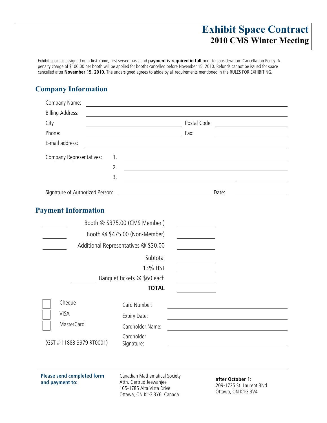## Exhibit Space Contract 2010 CMS Winter Meeting

Exhibit space is assigned on a first-come, first served basis and **payment is required in full** prior to consideration. Cancellation Policy: A penalty charge of \$100.00 per booth will be applied for booths cancelled before November 15, 2010. Refunds cannot be issued for space cancelled after **November 15, 2010**. The undersigned agrees to abide by all requirements mentioned in the RULES FOR EXHIBITING.

### Company Information

| Company Name:                                        |                                                                                                                        |             |                                                                                                                        |
|------------------------------------------------------|------------------------------------------------------------------------------------------------------------------------|-------------|------------------------------------------------------------------------------------------------------------------------|
| <b>Billing Address:</b>                              |                                                                                                                        |             |                                                                                                                        |
| City                                                 |                                                                                                                        | Postal Code |                                                                                                                        |
| Phone:                                               | <u> 1980 - Johann Barn, mars ann an t-Aonaich an t-Aonaich an t-Aonaich an t-Aonaich an t-Aonaich ann an t-Aonaich</u> | Fax:        |                                                                                                                        |
| E-mail address:                                      |                                                                                                                        |             |                                                                                                                        |
| Company Representatives:<br>1.                       |                                                                                                                        |             | <u> 1989 - Johann Stoff, deutscher Stoffen und der Stoffen und der Stoffen und der Stoffen und der Stoffen und der</u> |
| 2.                                                   |                                                                                                                        |             | <u> 1980 - Johann Stoff, deutscher Stoffen und der Stoffen und der Stoffen und der Stoffen und der Stoffen und der</u> |
| 3.                                                   |                                                                                                                        |             | <u> 1989 - Johann Harry Harry Harry Harry Harry Harry Harry Harry Harry Harry Harry Harry Harry Harry Harry Harry</u>  |
| Signature of Authorized Person:                      |                                                                                                                        |             | Date:                                                                                                                  |
| <b>Payment Information</b>                           |                                                                                                                        |             |                                                                                                                        |
|                                                      | Booth @ \$375.00 (CMS Member)                                                                                          |             |                                                                                                                        |
|                                                      | Booth @ \$475.00 (Non-Member)                                                                                          |             |                                                                                                                        |
|                                                      | Additional Representatives @ \$30.00                                                                                   |             |                                                                                                                        |
|                                                      | Subtotal                                                                                                               |             |                                                                                                                        |
|                                                      | 13% HST                                                                                                                |             |                                                                                                                        |
|                                                      | Banquet tickets @ \$60 each                                                                                            |             |                                                                                                                        |
|                                                      | <b>TOTAL</b>                                                                                                           |             |                                                                                                                        |
| Cheque                                               | Card Number:                                                                                                           |             |                                                                                                                        |
| <b>VISA</b>                                          | Expiry Date:                                                                                                           |             |                                                                                                                        |
| <b>MasterCard</b>                                    | Cardholder Name:                                                                                                       |             |                                                                                                                        |
| (GST # 11883 3979 RT0001)                            | Cardholder<br>Signature:                                                                                               |             |                                                                                                                        |
|                                                      |                                                                                                                        |             |                                                                                                                        |
| <b>Please send completed form</b><br>and payment to: | Canadian Mathematical Society<br>Attn. Gertrud Jeewanjee<br>105-1785 Alta Vista Drive<br>Ottawa, ON K1G 3Y6 Canada     |             | after October 1:<br>209-1725 St. Laurent Blvd<br>Ottawa, ON K1G 3V4                                                    |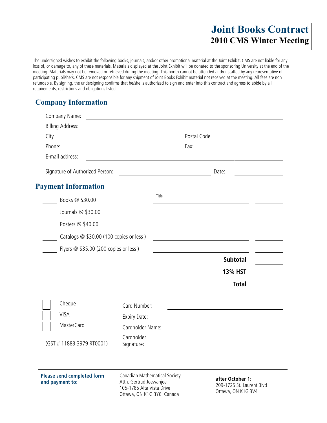### Joint Books Contract 2010 CMS Winter Meeting

The undersigned wishes to exhibit the following books, journals, and/or other promotional material at the Joint Exhibit. CMS are not liable for any loss of, or damage to, any of these materials. Materials displayed at the Joint Exhibit will be donated to the sponsoring University at the end of the meeting. Materials may not be removed or retrieved during the meeting. This booth cannot be attended and/or staffed by any representative of participating publishers. CMS are not responsible for any shipment of Joint Books Exhibit material not received at the meeting. All fees are non refundable. By signing, the undersigning confirms that he/she is authorized to sign and enter into this contract and agrees to abide by all requirements, restrictions and obligations listed.

### Company Information

| Company Name:                                        |                                                                                                                      |               |             |                                                                     |
|------------------------------------------------------|----------------------------------------------------------------------------------------------------------------------|---------------|-------------|---------------------------------------------------------------------|
| <b>Billing Address:</b>                              |                                                                                                                      |               |             |                                                                     |
| City                                                 |                                                                                                                      |               | Postal Code |                                                                     |
| Phone:                                               | <u> 1980 - Johann Barn, mars ar breithinn ar breithinn ar breithinn ar breithinn ar breithinn ar breithinn ar br</u> |               | Fax:        |                                                                     |
| E-mail address:                                      |                                                                                                                      |               |             |                                                                     |
| Signature of Authorized Person:                      |                                                                                                                      |               |             | Date:                                                               |
| <b>Payment Information</b>                           |                                                                                                                      |               |             |                                                                     |
| Books @ \$30.00                                      |                                                                                                                      | Title         |             |                                                                     |
| Journals @ \$30.00                                   |                                                                                                                      |               |             |                                                                     |
| Posters @ \$40.00                                    |                                                                                                                      |               |             |                                                                     |
| Catalogs @ \$30.00 (100 copies or less)              |                                                                                                                      |               |             | <u> 1980 - Johann Barbara, martxa alemaniar a</u>                   |
| Flyers @ \$35.00 (200 copies or less)                |                                                                                                                      |               |             |                                                                     |
|                                                      |                                                                                                                      |               |             | <b>Subtotal</b>                                                     |
|                                                      |                                                                                                                      |               |             | <b>13% HST</b>                                                      |
|                                                      |                                                                                                                      |               |             | <b>Total</b>                                                        |
| Cheque                                               | Card Number:                                                                                                         |               |             |                                                                     |
| <b>VISA</b>                                          | Expiry Date:                                                                                                         |               |             |                                                                     |
| <b>MasterCard</b>                                    | Cardholder Name:                                                                                                     |               |             |                                                                     |
| (GST # 11883 3979 RT0001)                            | Cardholder<br>Signature:                                                                                             |               |             |                                                                     |
|                                                      |                                                                                                                      |               |             |                                                                     |
| <b>Please send completed form</b><br>and payment to: | Canadian Mathematical Society<br>Attn. Gertrud Jeewanjee<br>105-1785 Alta Vista Drive                                | OMUMC 2UC C 1 |             | after October 1:<br>209-1725 St. Laurent Blvd<br>Ottawa, ON K1G 3V4 |

Ottawa, ON K1G 3Y6 Canada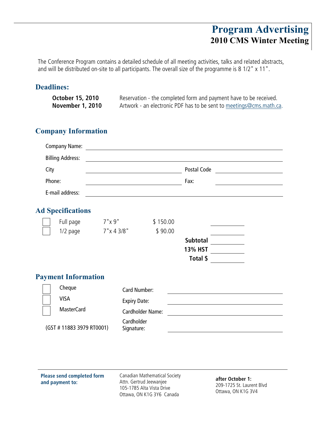### Program Advertising 2010 CMS Winter Meeting

The Conference Program contains a detailed schedule of all meeting activities, talks and related abstracts, and will be distributed on-site to all participants. The overall size of the programme is 8 1/2" x 11".

### Deadlines:

| <b>October 15, 2010</b> | Reservation - the completed form and payment have to be received.   |
|-------------------------|---------------------------------------------------------------------|
| <b>November 1, 2010</b> | Artwork - an electronic PDF has to be sent to meetings@cms.math.ca. |

### Company Information

| City<br>Phone: | <b>Company Name:</b><br><b>Billing Address:</b><br>E-mail address: |                     |                          |          | Postal Code<br>Fax: | <u> 1989 - Jan Stein Stein Stein Stein Stein Stein Stein Stein Stein Stein Stein Stein Stein Stein Stein Stein S</u><br><u> 1990 - Jan James James Barnett, p</u> |
|----------------|--------------------------------------------------------------------|---------------------|--------------------------|----------|---------------------|-------------------------------------------------------------------------------------------------------------------------------------------------------------------|
|                | <b>Ad Specifications</b>                                           |                     |                          |          |                     |                                                                                                                                                                   |
|                | Full page                                                          | 7"x 9"              |                          | \$150.00 |                     |                                                                                                                                                                   |
|                | 1/2 page                                                           | $7" \times 4' 3/8"$ |                          | \$90.00  |                     |                                                                                                                                                                   |
|                |                                                                    |                     |                          |          | <b>Subtotal</b>     |                                                                                                                                                                   |
|                |                                                                    |                     |                          |          | <b>13% HST</b>      |                                                                                                                                                                   |
|                |                                                                    |                     |                          |          | Total \$            |                                                                                                                                                                   |
|                | <b>Payment Information</b>                                         |                     |                          |          |                     |                                                                                                                                                                   |
|                | Cheque                                                             |                     | <b>Card Number:</b>      |          |                     |                                                                                                                                                                   |
|                | <b>VISA</b>                                                        |                     | <b>Expiry Date:</b>      |          |                     |                                                                                                                                                                   |
|                | <b>MasterCard</b>                                                  |                     | <b>Cardholder Name:</b>  |          |                     |                                                                                                                                                                   |
|                | (GST #11883 3979 RT0001)                                           |                     | Cardholder<br>Signature: |          |                     |                                                                                                                                                                   |

**Please send completed form and payment to:** 

Canadian Mathematical Society Attn. Gertrud Jeewanjee 105-1785 Alta Vista Drive Ottawa, ON K1G 3Y6 Canada

**after October 1:**  209-1725 St. Laurent Blvd Ottawa, ON K1G 3V4